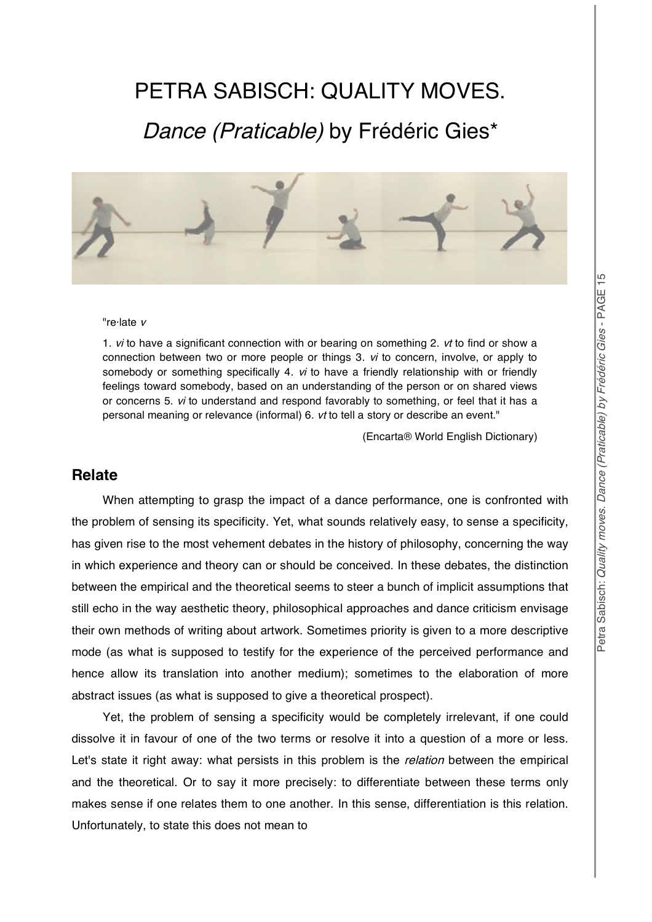# PETRA SABISCH: QUALITY MOVES.

## Dance (Praticable) by Frédéric Gies\*



#### "re·late <sup>v</sup>

1. *vi* to have a significant connection with or bearing on something 2. *vt* to find or show a connection between two or more people or things 3. vi to concern, involve, or apply to somebody or something specifically 4. *vi* to have a friendly relationship with or friendly feelings toward somebody, based on an understanding of the person or on shared views or concerns 5. vi to understand and respond favorably to something, or feel that it has a personal meaning or relevance (informal) 6. vt to tell a story or describe an event."

(Encarta® World English Dictionary)

#### **Relate**

When attempting to grasp the impact of a dance performance, one is confronted with the problem of sensing its specificity. Yet, what sounds relatively easy, to sense a specificity, has given rise to the most vehement debates in the history of philosophy, concerning the way in which experience and theory can or should be conceived. In these debates, the distinction between the empirical and the theoretical seems to steer a bunch of implicit assumptions that still echo in the way aesthetic theory, philosophical approaches and dance criticism envisage their own methods of writing about artwork. Sometimes priority is given to a more descriptive mode (as what is supposed to testify for the experience of the perceived performance and hence allow its translation into another medium); sometimes to the elaboration of more abstract issues (as what is supposed to give a theoretical prospect).

Yet, the problem of sensing a specificity would be completely irrelevant, if one could dissolve it in favour of one of the two terms or resolve it into a question of a more or less. Let's state it right away: what persists in this problem is the *relation* between the empirical and the theoretical. Or to say it more precisely: to differentiate between these terms only makes sense if one relates them to one another. In this sense, differentiation is this relation. Unfortunately, to state this does not mean to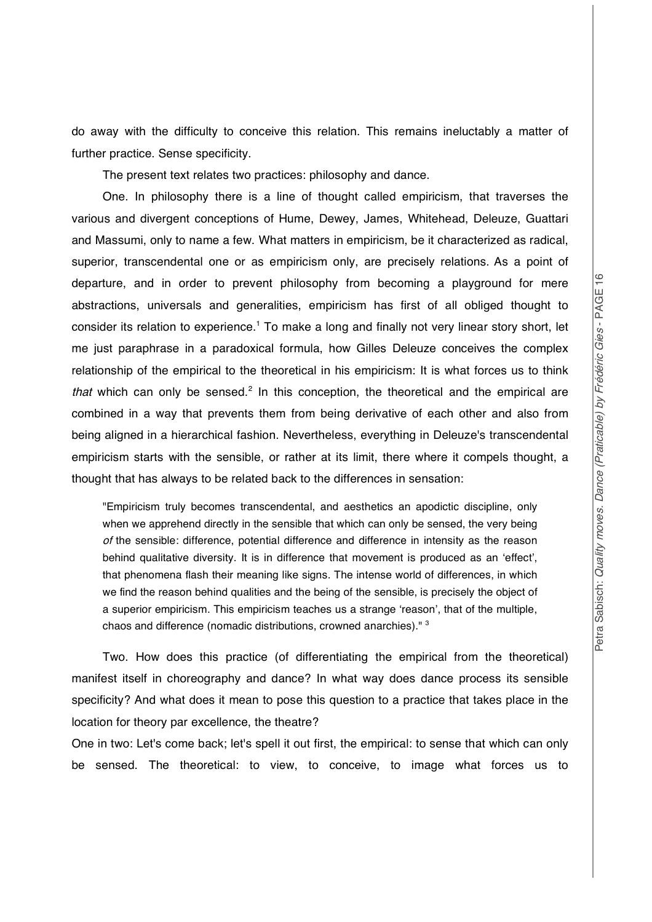do away with the difficulty to conceive this relation. This remains ineluctably a matter of further practice. Sense specificity.

The present text relates two practices: philosophy and dance.

One. In philosophy there is a line of thought called empiricism, that traverses the various and divergent conceptions of Hume, Dewey, James, Whitehead, Deleuze, Guattari and Massumi, only to name a few. What matters in empiricism, be it characterized as radical, superior, transcendental one or as empiricism only, are precisely relations. As a point of departure, and in order to prevent philosophy from becoming a playground for mere abstractions, universals and generalities, empiricism has first of all obliged thought to consider its relation to experience.<sup>1</sup> To make a long and finally not very linear story short, let me just paraphrase in a paradoxical formula, how Gilles Deleuze conceives the complex relationship of the empirical to the theoretical in his empiricism: It is what forces us to think that which can only be sensed.<sup>2</sup> In this conception, the theoretical and the empirical are combined in a way that prevents them from being derivative of each other and also from being aligned in a hierarchical fashion. Nevertheless, everything in Deleuze's transcendental empiricism starts with the sensible, or rather at its limit, there where it compels thought, a thought that has always to be related back to the differences in sensation:

"Empiricism truly becomes transcendental, and aesthetics an apodictic discipline, only when we apprehend directly in the sensible that which can only be sensed, the very being of the sensible: difference, potential difference and difference in intensity as the reason behind qualitative diversity. It is in difference that movement is produced as an 'effect', that phenomena flash their meaning like signs. The intense world of differences, in which we find the reason behind qualities and the being of the sensible, is precisely the object of a superior empiricism. This empiricism teaches us a strange 'reason', that of the multiple, chaos and difference (nomadic distributions, crowned anarchies)." <sup>3</sup>

Two. How does this practice (of differentiating the empirical from the theoretical) manifest itself in choreography and dance? In what way does dance process its sensible specificity? And what does it mean to pose this question to a practice that takes place in the location for theory par excellence, the theatre?

One in two: Let's come back; let's spell it out first, the empirical: to sense that which can only be sensed. The theoretical: to view, to conceive, to image what forces us to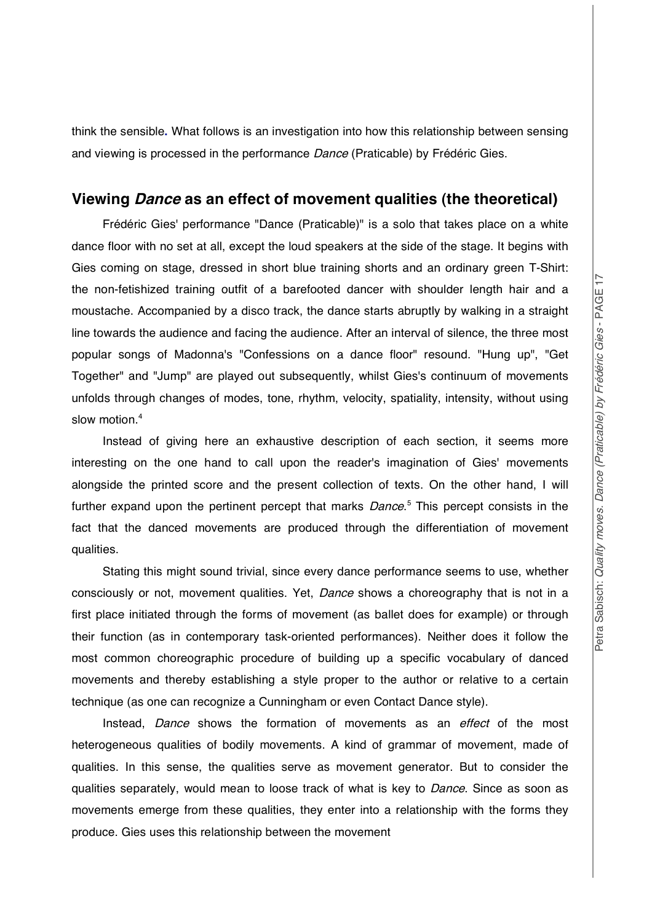think the sensible**.** What follows is an investigation into how this relationship between sensing and viewing is processed in the performance Dance (Praticable) by Frédéric Gies.

#### **Viewing Dance as an effect of movement qualities (the theoretical)**

Frédéric Gies' performance "Dance (Praticable)" is a solo that takes place on a white dance floor with no set at all, except the loud speakers at the side of the stage. It begins with Gies coming on stage, dressed in short blue training shorts and an ordinary green T-Shirt: the non-fetishized training outfit of a barefooted dancer with shoulder length hair and a moustache. Accompanied by a disco track, the dance starts abruptly by walking in a straight line towards the audience and facing the audience. After an interval of silence, the three most popular songs of Madonna's "Confessions on a dance floor" resound. "Hung up", "Get Together" and "Jump" are played out subsequently, whilst Gies's continuum of movements unfolds through changes of modes, tone, rhythm, velocity, spatiality, intensity, without using slow motion.<sup>4</sup>

Instead of giving here an exhaustive description of each section, it seems more interesting on the one hand to call upon the reader's imagination of Gies' movements alongside the printed score and the present collection of texts. On the other hand, I will further expand upon the pertinent percept that marks *Dance*.<sup>5</sup> This percept consists in the fact that the danced movements are produced through the differentiation of movement qualities.

Stating this might sound trivial, since every dance performance seems to use, whether consciously or not, movement qualities. Yet, *Dance* shows a choreography that is not in a first place initiated through the forms of movement (as ballet does for example) or through their function (as in contemporary task-oriented performances). Neither does it follow the most common choreographic procedure of building up a specific vocabulary of danced movements and thereby establishing a style proper to the author or relative to a certain technique (as one can recognize a Cunningham or even Contact Dance style).

Instead, Dance shows the formation of movements as an effect of the most heterogeneous qualities of bodily movements. A kind of grammar of movement, made of qualities. In this sense, the qualities serve as movement generator. But to consider the qualities separately, would mean to loose track of what is key to Dance. Since as soon as movements emerge from these qualities, they enter into a relationship with the forms they produce. Gies uses this relationship between the movement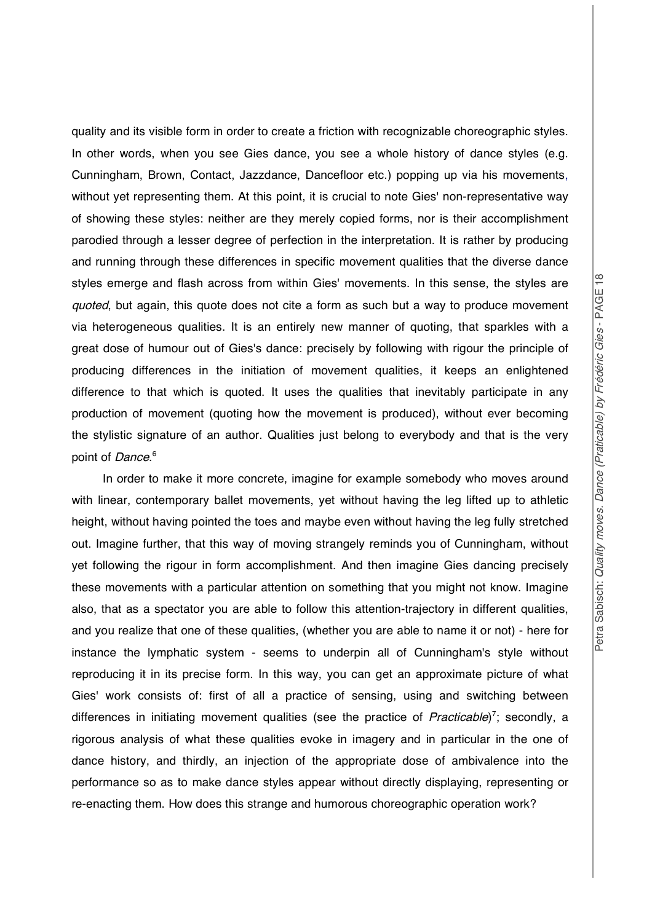Petra S a

quality and its visible form in order to create a friction with recognizable choreographic styles. In other words, when you see Gies dance, you see a whole history of dance styles (e.g. Cunningham, Brown, Contact, Jazzdance, Dancefloor etc.) popping up via his movements, without yet representing them. At this point, it is crucial to note Gies' non-representative way of showing these styles: neither are they merely copied forms, nor is their accomplishment parodied through a lesser degree of perfection in the interpretation. It is rather by producing and running through these differences in specific movement qualities that the diverse dance styles emerge and flash across from within Gies' movements. In this sense, the styles are quoted, but again, this quote does not cite a form as such but a way to produce movement via heterogeneous qualities. It is an entirely new manner of quoting, that sparkles with a great dose of humour out of Gies's dance: precisely by following with rigour the principle of producing differences in the initiation of movement qualities, it keeps an enlightened difference to that which is quoted. It uses the qualities that inevitably participate in any production of movement (quoting how the movement is produced), without ever becoming the stylistic signature of an author. Qualities just belong to everybody and that is the very point of *Dance*.<sup>6</sup>

In order to make it more concrete, imagine for example somebody who moves around with linear, contemporary ballet movements, yet without having the leg lifted up to athletic height, without having pointed the toes and maybe even without having the leg fully stretched out. Imagine further, that this way of moving strangely reminds you of Cunningham, without yet following the rigour in form accomplishment. And then imagine Gies dancing precisely these movements with a particular attention on something that you might not know. Imagine also, that as a spectator you are able to follow this attention-trajectory in different qualities, and you realize that one of these qualities, (whether you are able to name it or not) - here for instance the lymphatic system - seems to underpin all of Cunningham's style without reproducing it in its precise form. In this way, you can get an approximate picture of what Gies' work consists of: first of all a practice of sensing, using and switching between differences in initiating movement qualities (see the practice of Practicable)<sup>7</sup>; secondly, a rigorous analysis of what these qualities evoke in imagery and in particular in the one of dance history, and thirdly, an injection of the appropriate dose of ambivalence into the performance so as to make dance styles appear without directly displaying, representing or re-enacting them. How does this strange and humorous choreographic operation work?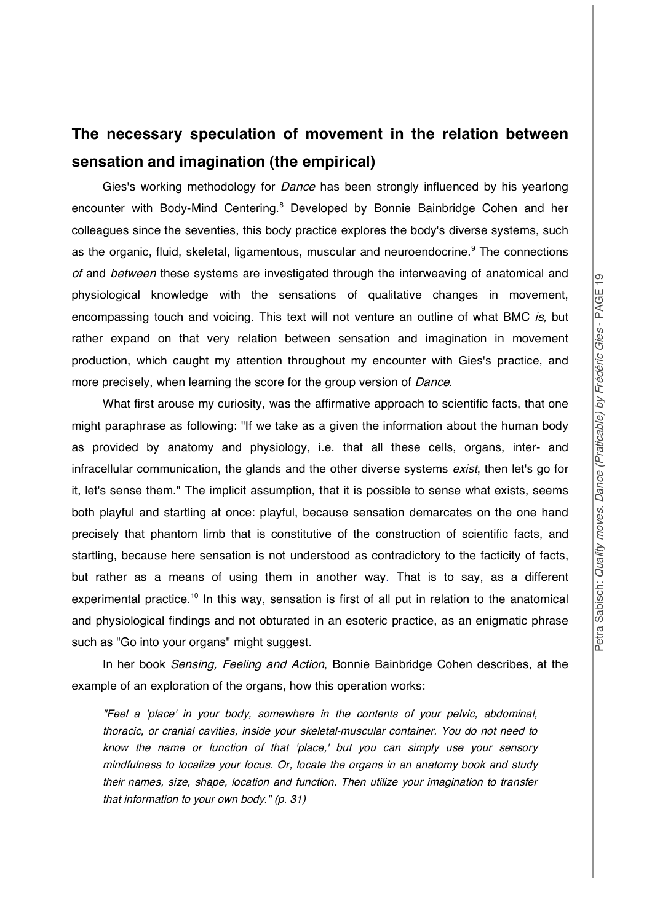## **The necessary speculation of movement in the relation between sensation and imagination (the empirical)**

Gies's working methodology for *Dance* has been strongly influenced by his yearlong encounter with Body-Mind Centering.<sup>8</sup> Developed by Bonnie Bainbridge Cohen and her colleagues since the seventies, this body practice explores the body's diverse systems, such as the organic, fluid, skeletal, ligamentous, muscular and neuroendocrine.<sup>9</sup> The connections of and between these systems are investigated through the interweaving of anatomical and physiological knowledge with the sensations of qualitative changes in movement, encompassing touch and voicing. This text will not venture an outline of what BMC is, but rather expand on that very relation between sensation and imagination in movement production, which caught my attention throughout my encounter with Gies's practice, and more precisely, when learning the score for the group version of *Dance*.

What first arouse my curiosity, was the affirmative approach to scientific facts, that one might paraphrase as following: "If we take as a given the information about the human body as provided by anatomy and physiology, i.e. that all these cells, organs, inter- and infracellular communication, the glands and the other diverse systems exist, then let's go for it, let's sense them." The implicit assumption, that it is possible to sense what exists, seems both playful and startling at once: playful, because sensation demarcates on the one hand precisely that phantom limb that is constitutive of the construction of scientific facts, and startling, because here sensation is not understood as contradictory to the facticity of facts, but rather as a means of using them in another way. That is to say, as a different experimental practice.<sup>10</sup> In this way, sensation is first of all put in relation to the anatomical and physiological findings and not obturated in an esoteric practice, as an enigmatic phrase such as "Go into your organs" might suggest.

In her book Sensing, Feeling and Action, Bonnie Bainbridge Cohen describes, at the example of an exploration of the organs, how this operation works:

"Feel <sup>a</sup> 'place' in your body, somewhere in the contents of your pelvic, abdominal, thoracic, or cranial cavities, inside your skeletal-muscular container. You do not need to know the name or function of that 'place,' but you can simply use your sensory mindfulness to localize your focus. Or, locate the organs in an anatomy book and study their names, size, shape, location and function. Then utilize your imagination to transfer that information to your own body." (p. 31)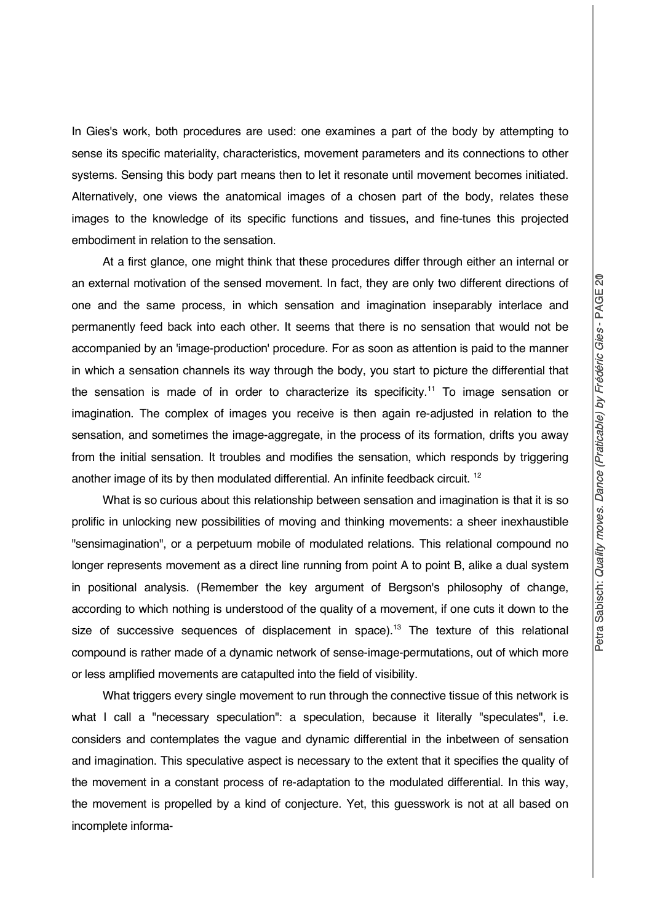In Gies's work, both procedures are used: one examines a part of the body by attempting to sense its specific materiality, characteristics, movement parameters and its connections to other systems. Sensing this body part means then to let it resonate until movement becomes initiated. Alternatively, one views the anatomical images of a chosen part of the body, relates these images to the knowledge of its specific functions and tissues, and fine-tunes this projected embodiment in relation to the sensation.

At a first glance, one might think that these procedures differ through either an internal or an external motivation of the sensed movement. In fact, they are only two different directions of one and the same process, in which sensation and imagination inseparably interlace and permanently feed back into each other. It seems that there is no sensation that would not be accompanied by an 'image-production' procedure. For as soon as attention is paid to the manner in which a sensation channels its way through the body, you start to picture the differential that the sensation is made of in order to characterize its specificity.<sup>11</sup> To image sensation or imagination. The complex of images you receive is then again re-adjusted in relation to the sensation, and sometimes the image-aggregate, in the process of its formation, drifts you away from the initial sensation. It troubles and modifies the sensation, which responds by triggering another image of its by then modulated differential. An infinite feedback circuit. <sup>12</sup>

What is so curious about this relationship between sensation and imagination is that it is so prolific in unlocking new possibilities of moving and thinking movements: a sheer inexhaustible "sensimagination", or a perpetuum mobile of modulated relations. This relational compound no longer represents movement as a direct line running from point A to point B, alike a dual system in positional analysis. (Remember the key argument of Bergson's philosophy of change, according to which nothing is understood of the quality of a movement, if one cuts it down to the size of successive sequences of displacement in space).<sup>13</sup> The texture of this relational compound is rather made of a dynamic network of sense-image-permutations, out of which more or less amplified movements are catapulted into the field of visibility.

What triggers every single movement to run through the connective tissue of this network is what I call a "necessary speculation": a speculation, because it literally "speculates", i.e. considers and contemplates the vague and dynamic differential in the inbetween of sensation and imagination. This speculative aspect is necessary to the extent that it specifies the quality of the movement in a constant process of re-adaptation to the modulated differential. In this way, the movement is propelled by a kind of conjecture. Yet, this guesswork is not at all based on incomplete informa-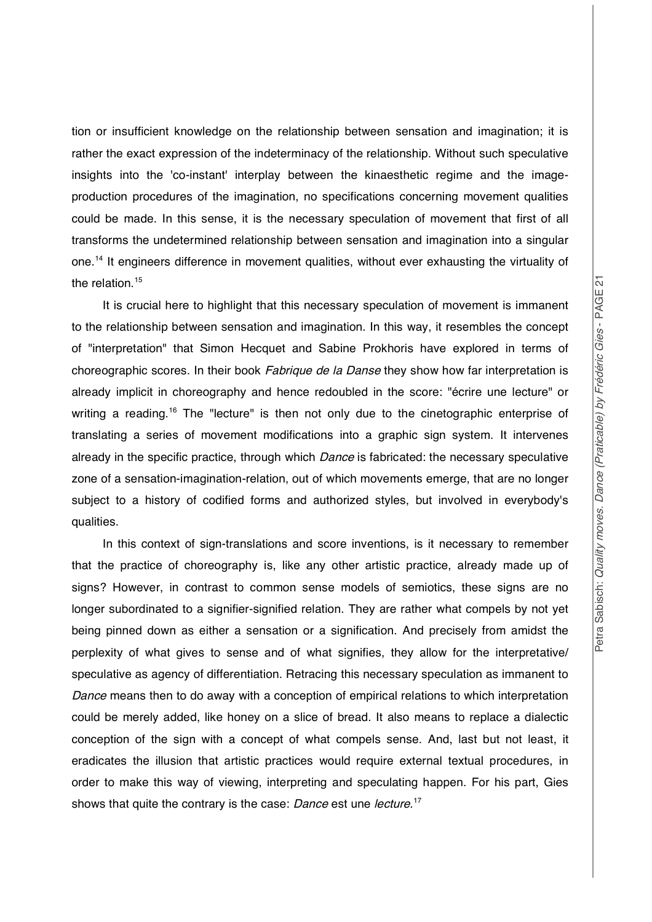tion or insufficient knowledge on the relationship between sensation and imagination; it is rather the exact expression of the indeterminacy of the relationship. Without such speculative insights into the 'co-instant' interplay between the kinaesthetic regime and the imageproduction procedures of the imagination, no specifications concerning movement qualities could be made. In this sense, it is the necessary speculation of movement that first of all transforms the undetermined relationship between sensation and imagination into a singular one.<sup>14</sup> It engineers difference in movement qualities, without ever exhausting the virtuality of the relation.<sup>15</sup>

It is crucial here to highlight that this necessary speculation of movement is immanent to the relationship between sensation and imagination. In this way, it resembles the concept of "interpretation" that Simon Hecquet and Sabine Prokhoris have explored in terms of choreographic scores. In their book Fabrique de la Danse they show how far interpretation is already implicit in choreography and hence redoubled in the score: "écrire une lecture" or writing a reading.<sup>16</sup> The "lecture" is then not only due to the cinetographic enterprise of translating a series of movement modifications into a graphic sign system. It intervenes already in the specific practice, through which *Dance* is fabricated: the necessary speculative zone of a sensation-imagination-relation, out of which movements emerge, that are no longer subject to a history of codified forms and authorized styles, but involved in everybody's qualities.

In this context of sign-translations and score inventions, is it necessary to remember that the practice of choreography is, like any other artistic practice, already made up of signs? However, in contrast to common sense models of semiotics, these signs are no longer subordinated to a signifier-signified relation. They are rather what compels by not yet being pinned down as either a sensation or a signification. And precisely from amidst the perplexity of what gives to sense and of what signifies, they allow for the interpretative/ speculative as agency of differentiation. Retracing this necessary speculation as immanent to Dance means then to do away with a conception of empirical relations to which interpretation could be merely added, like honey on a slice of bread. It also means to replace a dialectic conception of the sign with a concept of what compels sense. And, last but not least, it eradicates the illusion that artistic practices would require external textual procedures, in order to make this way of viewing, interpreting and speculating happen. For his part, Gies shows that quite the contrary is the case: *Dance* est une lecture.<sup>17</sup>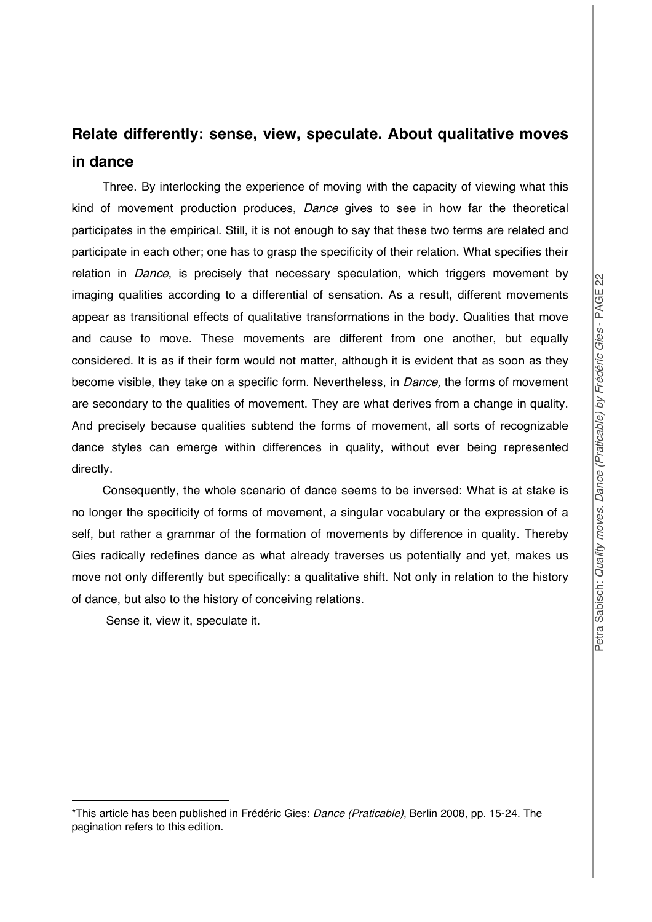### **Relate differently: sense, view, speculate. About qualitative moves in dance**

Three. By interlocking the experience of moving with the capacity of viewing what this kind of movement production produces, Dance gives to see in how far the theoretical participates in the empirical. Still, it is not enough to say that these two terms are related and participate in each other; one has to grasp the specificity of their relation. What specifies their relation in *Dance*, is precisely that necessary speculation, which triggers movement by imaging qualities according to a differential of sensation. As a result, different movements appear as transitional effects of qualitative transformations in the body. Qualities that move and cause to move. These movements are different from one another, but equally considered. It is as if their form would not matter, although it is evident that as soon as they become visible, they take on a specific form. Nevertheless, in *Dance*, the forms of movement are secondary to the qualities of movement. They are what derives from a change in quality. And precisely because qualities subtend the forms of movement, all sorts of recognizable dance styles can emerge within differences in quality, without ever being represented directly.

Consequently, the whole scenario of dance seems to be inversed: What is at stake is no longer the specificity of forms of movement, a singular vocabulary or the expression of a self, but rather a grammar of the formation of movements by difference in quality. Thereby Gies radically redefines dance as what already traverses us potentially and yet, makes us move not only differently but specifically: a qualitative shift. Not only in relation to the history of dance, but also to the history of conceiving relations.

Sense it, view it, speculate it.

l

<sup>\*</sup>This article has been published in Frédéric Gies: Dance (Praticable), Berlin 2008, pp. 15-24. The pagination refers to this edition.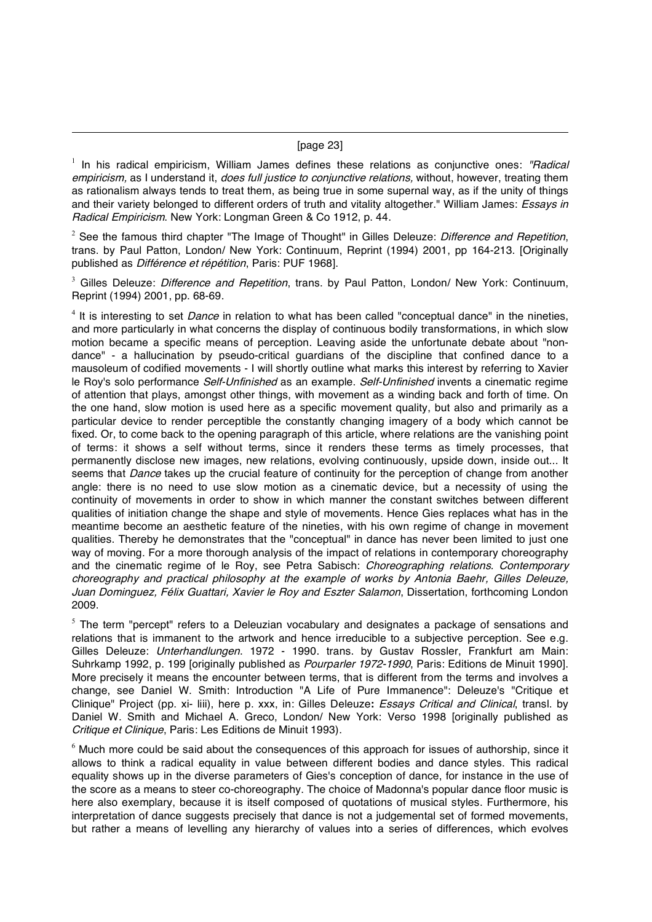#### [page 23]

l

 $1$  In his radical empiricism, William James defines these relations as conjunctive ones: "Radical empiricism, as I understand it, *does full justice to conjunctive relations*, without, however, treating them as rationalism always tends to treat them, as being true in some supernal way, as if the unity of things and their variety belonged to different orders of truth and vitality altogether." William James: Essays in Radical Empiricism. New York: Longman Green & Co 1912, p. 44.

<sup>2</sup> See the famous third chapter "The Image of Thought" in Gilles Deleuze: *Difference and Repetition*, trans. by Paul Patton, London/ New York: Continuum, Reprint (1994) 2001, pp 164-213. [Originally published as Différence et répétition, Paris: PUF 1968].

 $3$  Gilles Deleuze: Difference and Repetition, trans. by Paul Patton, London/ New York: Continuum, Reprint (1994) 2001, pp. 68-69.

 $4$  It is interesting to set *Dance* in relation to what has been called "conceptual dance" in the nineties, and more particularly in what concerns the display of continuous bodily transformations, in which slow motion became a specific means of perception. Leaving aside the unfortunate debate about "nondance" - a hallucination by pseudo-critical guardians of the discipline that confined dance to a mausoleum of codified movements - I will shortly outline what marks this interest by referring to Xavier le Roy's solo performance Self-Unfinished as an example. Self-Unfinished invents a cinematic regime of attention that plays, amongst other things, with movement as a winding back and forth of time. On the one hand, slow motion is used here as a specific movement quality, but also and primarily as a particular device to render perceptible the constantly changing imagery of a body which cannot be fixed. Or, to come back to the opening paragraph of this article, where relations are the vanishing point of terms: it shows a self without terms, since it renders these terms as timely processes, that permanently disclose new images, new relations, evolving continuously, upside down, inside out... It seems that *Dance* takes up the crucial feature of continuity for the perception of change from another angle: there is no need to use slow motion as a cinematic device, but a necessity of using the continuity of movements in order to show in which manner the constant switches between different qualities of initiation change the shape and style of movements. Hence Gies replaces what has in the meantime become an aesthetic feature of the nineties, with his own regime of change in movement qualities. Thereby he demonstrates that the "conceptual" in dance has never been limited to just one way of moving. For a more thorough analysis of the impact of relations in contemporary choreography and the cinematic regime of le Roy, see Petra Sabisch: Choreographing relations. Contemporary choreography and practical philosophy at the example of works by Antonia Baehr, Gilles Deleuze, Juan Dominguez, Félix Guattari, Xavier le Roy and Eszter Salamon, Dissertation, forthcoming London 2009.

 $5$  The term "percept" refers to a Deleuzian vocabulary and designates a package of sensations and relations that is immanent to the artwork and hence irreducible to a subjective perception. See e.g. Gilles Deleuze: Unterhandlungen. 1972 - 1990. trans. by Gustav Rossler, Frankfurt am Main: Suhrkamp 1992, p. 199 [originally published as Pourparler 1972-1990, Paris: Editions de Minuit 1990]. More precisely it means the encounter between terms, that is different from the terms and involves a change, see Daniel W. Smith: Introduction "A Life of Pure Immanence": Deleuze's "Critique et Clinique" Project (pp. xi- liii), here p. xxx, in: Gilles Deleuze**:** Essays Critical and Clinical, transl. by Daniel W. Smith and Michael A. Greco, London/ New York: Verso 1998 [originally published as Critique et Clinique, Paris: Les Editions de Minuit 1993).

 $6$  Much more could be said about the consequences of this approach for issues of authorship, since it allows to think a radical equality in value between different bodies and dance styles. This radical equality shows up in the diverse parameters of Gies's conception of dance, for instance in the use of the score as a means to steer co-choreography. The choice of Madonna's popular dance floor music is here also exemplary, because it is itself composed of quotations of musical styles. Furthermore, his interpretation of dance suggests precisely that dance is not a judgemental set of formed movements, but rather a means of levelling any hierarchy of values into a series of differences, which evolves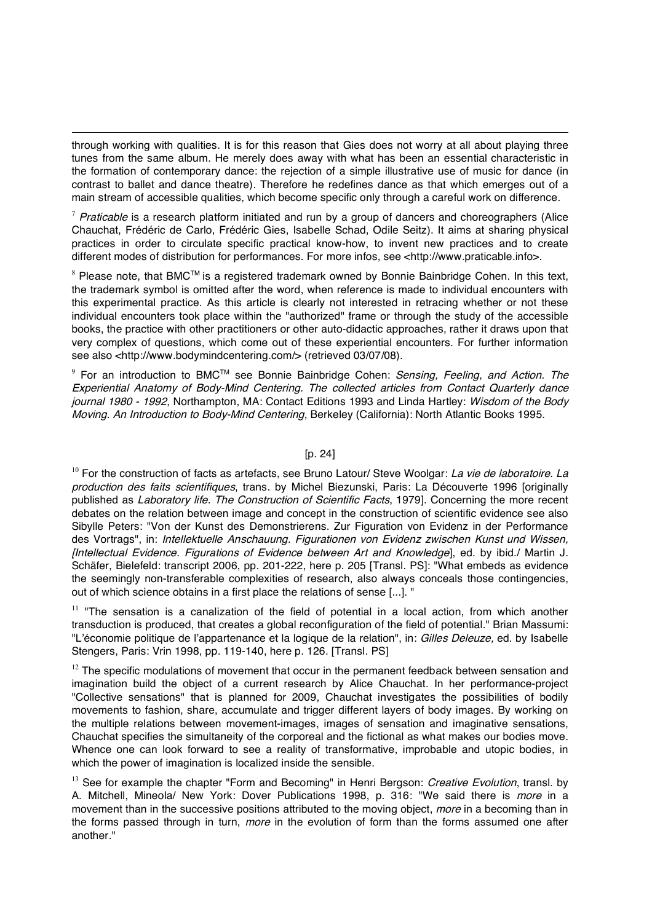through working with qualities. It is for this reason that Gies does not worry at all about playing three tunes from the same album. He merely does away with what has been an essential characteristic in the formation of contemporary dance: the rejection of a simple illustrative use of music for dance (in contrast to ballet and dance theatre). Therefore he redefines dance as that which emerges out of a main stream of accessible qualities, which become specific only through a careful work on difference.

l

 $7$  Praticable is a research platform initiated and run by a group of dancers and choreographers (Alice Chauchat, Frédéric de Carlo, Frédéric Gies, Isabelle Schad, Odile Seitz). It aims at sharing physical practices in order to circulate specific practical know-how, to invent new practices and to create different modes of distribution for performances. For more infos, see <http://www.praticable.info>.

 $8$  Please note, that BMC<sup>TM</sup> is a registered trademark owned by Bonnie Bainbridge Cohen. In this text, the trademark symbol is omitted after the word, when reference is made to individual encounters with this experimental practice. As this article is clearly not interested in retracing whether or not these individual encounters took place within the "authorized" frame or through the study of the accessible books, the practice with other practitioners or other auto-didactic approaches, rather it draws upon that very complex of questions, which come out of these experiential encounters. For further information see also <http://www.bodymindcentering.com/> (retrieved 03/07/08).

 $9$  For an introduction to BMC<sup>TM</sup> see Bonnie Bainbridge Cohen: Sensing, Feeling, and Action. The Experiential Anatomy of Body-Mind Centering. The collected articles from Contact Quarterly dance journal 1980 - 1992, Northampton, MA: Contact Editions 1993 and Linda Hartley: Wisdom of the Body Moving. An Introduction to Body-Mind Centering, Berkeley (California): North Atlantic Books 1995.

#### [p. 24]

 $10$  For the construction of facts as artefacts, see Bruno Latour/ Steve Woolgar: La vie de laboratoire. La production des faits scientifiques, trans. by Michel Biezunski, Paris: La Découverte 1996 [originally published as Laboratory life. The Construction of Scientific Facts, 1979]. Concerning the more recent debates on the relation between image and concept in the construction of scientific evidence see also Sibylle Peters: "Von der Kunst des Demonstrierens. Zur Figuration von Evidenz in der Performance des Vortrags", in: Intellektuelle Anschauung. Figurationen von Evidenz zwischen Kunst und Wissen, [Intellectual Evidence. Figurations of Evidence between Art and Knowledge], ed. by ibid./ Martin J. Schäfer, Bielefeld: transcript 2006, pp. 201-222, here p. 205 [Transl. PS]: "What embeds as evidence the seemingly non-transferable complexities of research, also always conceals those contingencies, out of which science obtains in a first place the relations of sense [...]. "

 $11$  "The sensation is a canalization of the field of potential in a local action, from which another transduction is produced, that creates a global reconfiguration of the field of potential." Brian Massumi: "L'économie politique de l'appartenance et la logique de la relation", in: Gilles Deleuze, ed. by Isabelle Stengers, Paris: Vrin 1998, pp. 119-140, here p. 126. [Transl. PS]

 $12$  The specific modulations of movement that occur in the permanent feedback between sensation and imagination build the object of a current research by Alice Chauchat. In her performance-project "Collective sensations" that is planned for 2009, Chauchat investigates the possibilities of bodily movements to fashion, share, accumulate and trigger different layers of body images. By working on the multiple relations between movement-images, images of sensation and imaginative sensations, Chauchat specifies the simultaneity of the corporeal and the fictional as what makes our bodies move. Whence one can look forward to see a reality of transformative, improbable and utopic bodies, in which the power of imagination is localized inside the sensible.

 $13$  See for example the chapter "Form and Becoming" in Henri Bergson: *Creative Evolution*, transl. by A. Mitchell, Mineola/ New York: Dover Publications 1998, p. 316: "We said there is *more* in a movement than in the successive positions attributed to the moving object, *more* in a becoming than in the forms passed through in turn, *more* in the evolution of form than the forms assumed one after another."